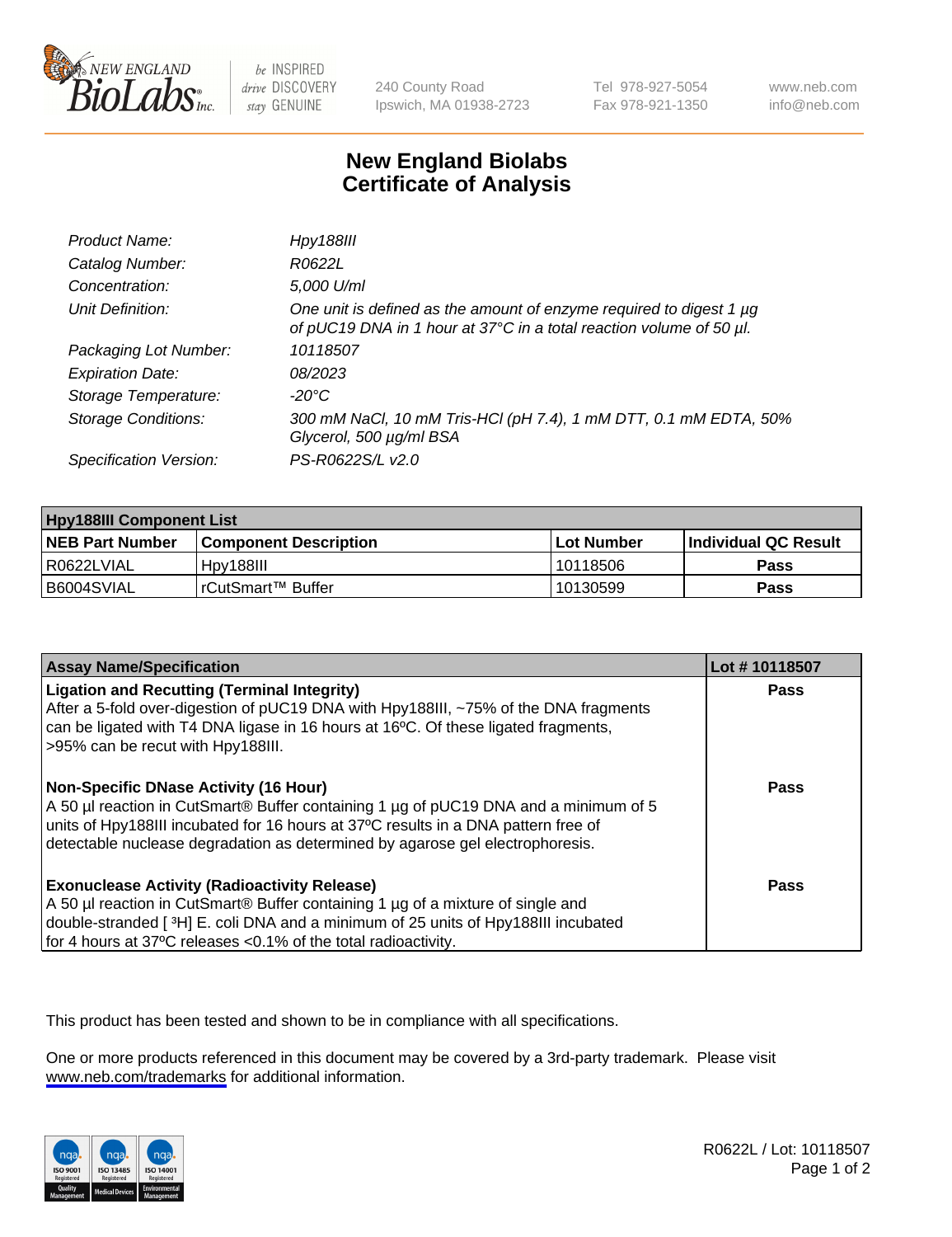

be INSPIRED drive DISCOVERY stay GENUINE

240 County Road Ipswich, MA 01938-2723 Tel 978-927-5054 Fax 978-921-1350

www.neb.com info@neb.com

## **New England Biolabs Certificate of Analysis**

| Product Name:              | <b>Hpy188III</b>                                                                                                                           |
|----------------------------|--------------------------------------------------------------------------------------------------------------------------------------------|
| Catalog Number:            | R0622L                                                                                                                                     |
| Concentration:             | 5,000 U/ml                                                                                                                                 |
| Unit Definition:           | One unit is defined as the amount of enzyme required to digest 1 µg<br>of pUC19 DNA in 1 hour at 37°C in a total reaction volume of 50 µl. |
| Packaging Lot Number:      | 10118507                                                                                                                                   |
| <b>Expiration Date:</b>    | 08/2023                                                                                                                                    |
| Storage Temperature:       | $-20^{\circ}$ C                                                                                                                            |
| <b>Storage Conditions:</b> | 300 mM NaCl, 10 mM Tris-HCl (pH 7.4), 1 mM DTT, 0.1 mM EDTA, 50%<br>Glycerol, 500 µg/ml BSA                                                |
| Specification Version:     | PS-R0622S/L v2.0                                                                                                                           |

| <b>Hpy188III Component List</b> |                              |              |                             |  |
|---------------------------------|------------------------------|--------------|-----------------------------|--|
| <b>NEB Part Number</b>          | <b>Component Description</b> | l Lot Number | <b>Individual QC Result</b> |  |
| R0622LVIAL                      | Hpy188III                    | 10118506     | Pass                        |  |
| B6004SVIAL                      | l rCutSmart™ Buffer_         | 10130599     | Pass                        |  |

| <b>Assay Name/Specification</b>                                                                                                                                                                                                                                                                             | Lot #10118507 |
|-------------------------------------------------------------------------------------------------------------------------------------------------------------------------------------------------------------------------------------------------------------------------------------------------------------|---------------|
| <b>Ligation and Recutting (Terminal Integrity)</b><br>After a 5-fold over-digestion of pUC19 DNA with Hpy188III, ~75% of the DNA fragments<br>can be ligated with T4 DNA ligase in 16 hours at 16 <sup>o</sup> C. Of these ligated fragments,<br>>95% can be recut with Hpy188III.                          | <b>Pass</b>   |
| <b>Non-Specific DNase Activity (16 Hour)</b><br>A 50 µl reaction in CutSmart® Buffer containing 1 µg of pUC19 DNA and a minimum of 5<br>units of Hpy188III incubated for 16 hours at 37°C results in a DNA pattern free of<br>detectable nuclease degradation as determined by agarose gel electrophoresis. | Pass          |
| <b>Exonuclease Activity (Radioactivity Release)</b><br>A 50 µl reaction in CutSmart® Buffer containing 1 µg of a mixture of single and<br>double-stranded [3H] E. coli DNA and a minimum of 25 units of Hpy188III incubated<br>for 4 hours at 37°C releases <0.1% of the total radioactivity.               | Pass          |

This product has been tested and shown to be in compliance with all specifications.

One or more products referenced in this document may be covered by a 3rd-party trademark. Please visit <www.neb.com/trademarks>for additional information.